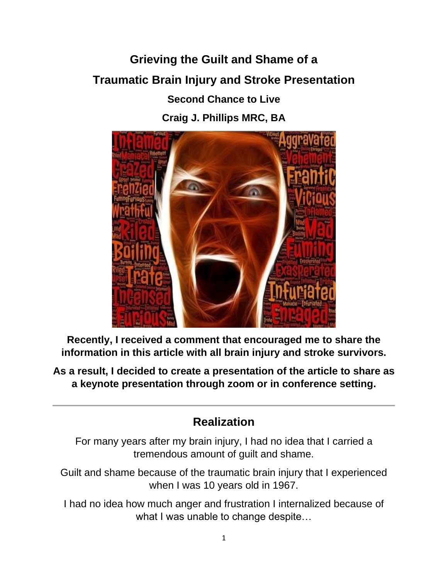# **Grieving the Guilt and Shame of a Traumatic Brain Injury and Stroke Presentation**

**Second Chance to Live**

**Craig J. Phillips MRC, BA**



**Recently, I received a comment that encouraged me to share the information in this article with all brain injury and stroke survivors.** 

**As a result, I decided to create a presentation of the article to share as a keynote presentation through zoom or in conference setting.**

# **Realization**

For many years after my brain injury, I had no idea that I carried a tremendous amount of guilt and shame.

Guilt and shame because of the traumatic brain injury that I experienced when I was 10 years old in 1967.

I had no idea how much anger and frustration I internalized because of what I was unable to change despite...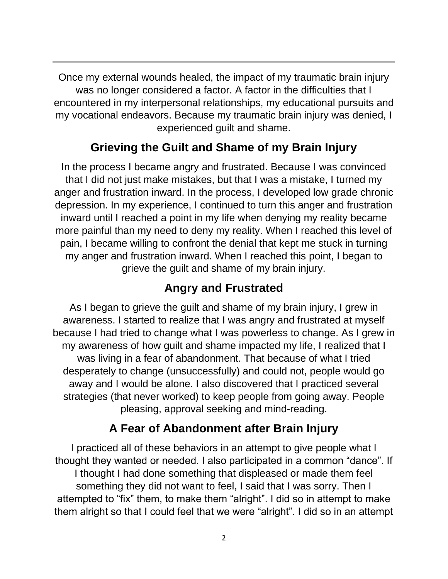Once my external wounds healed, the impact of my traumatic brain injury was no longer considered a factor. A factor in the difficulties that I encountered in my interpersonal relationships, my educational pursuits and my vocational endeavors. Because my traumatic brain injury was denied, I experienced guilt and shame.

# **Grieving the Guilt and Shame of my Brain Injury**

In the process I became angry and frustrated. Because I was convinced that I did not just make mistakes, but that I was a mistake, I turned my anger and frustration inward. In the process, I developed low grade chronic depression. In my experience, I continued to turn this anger and frustration inward until I reached a point in my life when denying my reality became more painful than my need to deny my reality. When I reached this level of pain, I became willing to confront the denial that kept me stuck in turning my anger and frustration inward. When I reached this point, I began to grieve the guilt and shame of my brain injury.

# **Angry and Frustrated**

As I began to grieve the guilt and shame of my brain injury, I grew in awareness. I started to realize that I was angry and frustrated at myself because I had tried to change what I was powerless to change. As I grew in my awareness of how guilt and shame impacted my life, I realized that I was living in a fear of abandonment. That because of what I tried desperately to change (unsuccessfully) and could not, people would go away and I would be alone. I also discovered that I practiced several strategies (that never worked) to keep people from going away. People pleasing, approval seeking and mind-reading.

## **A Fear of Abandonment after Brain Injury**

I practiced all of these behaviors in an attempt to give people what I thought they wanted or needed. I also participated in a common "dance". If I thought I had done something that displeased or made them feel something they did not want to feel, I said that I was sorry. Then I attempted to "fix" them, to make them "alright". I did so in attempt to make them alright so that I could feel that we were "alright". I did so in an attempt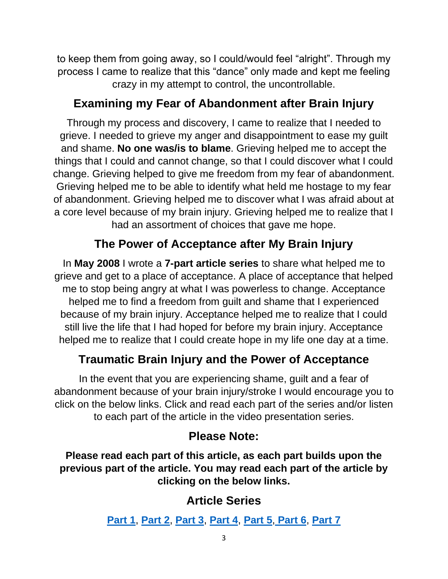to keep them from going away, so I could/would feel "alright". Through my process I came to realize that this "dance" only made and kept me feeling crazy in my attempt to control, the uncontrollable.

# **Examining my Fear of Abandonment after Brain Injury**

Through my process and discovery, I came to realize that I needed to grieve. I needed to grieve my anger and disappointment to ease my guilt and shame. **No one was/is to blame**. Grieving helped me to accept the things that I could and cannot change, so that I could discover what I could change. Grieving helped to give me freedom from my fear of abandonment. Grieving helped me to be able to identify what held me hostage to my fear of abandonment. Grieving helped me to discover what I was afraid about at a core level because of my brain injury. Grieving helped me to realize that I had an assortment of choices that gave me hope.

# **The Power of Acceptance after My Brain Injury**

In **May 2008** I wrote a **7-part article series** to share what helped me to grieve and get to a place of acceptance. A place of acceptance that helped me to stop being angry at what I was powerless to change. Acceptance helped me to find a freedom from guilt and shame that I experienced because of my brain injury. Acceptance helped me to realize that I could still live the life that I had hoped for before my brain injury. Acceptance helped me to realize that I could create hope in my life one day at a time.

# **Traumatic Brain Injury and the Power of Acceptance**

In the event that you are experiencing shame, guilt and a fear of abandonment because of your brain injury/stroke I would encourage you to click on the below links. Click and read each part of the series and/or listen to each part of the article in the video presentation series.

## **Please Note:**

**Please read each part of this article, as each part builds upon the previous part of the article. You may read each part of the article by clicking on the below links.**

# **Article Series**

**[Part 1](https://secondchancetolive.org/2008/05/25/traumatic-brain-injury-and-the-grieving-process-part-1/)**, **[Part 2](https://secondchancetolive.org/2008/05/26/traumatic-brain-injury-and-the-grieving-process-part-2/)**, **[Part 3](https://secondchancetolive.org/2008/05/27/traumatic-brain-injury-and-the-process-of-grieving-part-3/)**, **[Part 4](https://secondchancetolive.org/2008/05/29/traumatic-brain-injury-and-the-process-of-grieving-anger-and-resentment-part-4/)**, **[Part 5](https://secondchancetolive.org/2008/05/31/traumatic-brain-injury-and-the-grieving-process-awareness-part-5/)**, **[Part 6](https://secondchancetolive.org/2008/06/02/traumatic-brain-injury-and-the-grieving-process-acceptance-part-6/)**, **[Part 7](https://secondchancetolive.org/2008/06/03/acquired-brain-injury-and-the-process-of-grieving-action-part-7/)**